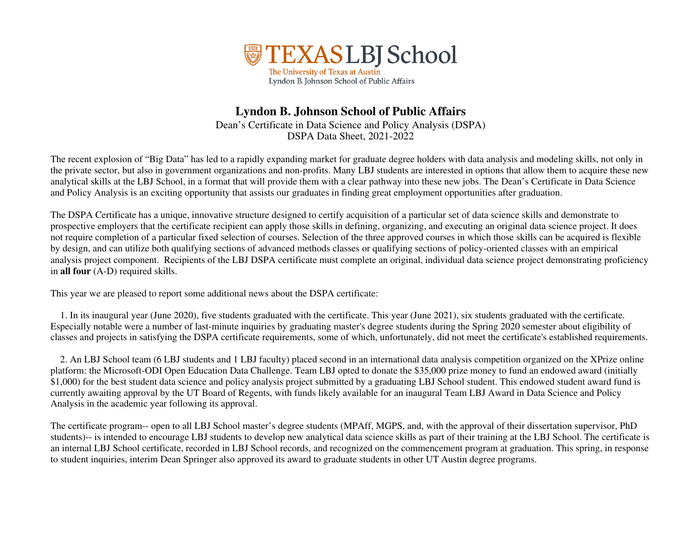

## **Lyndon B. Johnson School of Public Affairs**  Dean's Certificate in Data Science and Policy Analysis (DSPA) DSPA Data Sheet, 2021-2022

The recent explosion of "Big Data" has led to a rapidly expanding market for graduate degree holders with data analysis and modeling skills, not only in the private sector, but also in government organizations and non-profits. Many LBJ students are interested in options that allow them to acquire these new analytical skills at the LBJ School, in a format that will provide them with a clear pathway into these new jobs. The Dean's Certificate in Data Science and Policy Analysis is an exciting opportunity that assists our graduates in finding great employment opportunities after graduation.

The DSPA Certificate has a unique, innovative structure designed to certify acquisition of a particular set of data science skills and demonstrate to prospective employers that the certificate recipient can apply those skills in defining, organizing, and executing an original data science project. It does not require completion of a particular fixed selection of courses. Selection of the three approved courses in which those skills can be acquired is flexible by design, and can utilize both qualifying sections of advanced methods classes or qualifying sections of policy-oriented classes with an empirical analysis project component. Recipients of the LBJ DSPA certificate must complete an original, individual data science project demonstrating proficiency in **all four** (A-D) required skills.

This year we are pleased to report some additional news about the DSPA certificate:

1. In its inaugural year (June 2020), five students graduated with the certificate. This year (June 2021), six students graduated with the certificate. Especially notable were a number of last-minute inquiries by graduating master's degree students during the Spring 2020 semester about eligibility of classes and projects in satisfying the DSPA certificate requirements, some of which, unfortunately, did not meet the certificate's established requirements.

2. An LBJ School team (6 LBJ students and 1 LBJ faculty) placed second in an international data analysis competition organized on the XPrize onlineplatform: the Microsoft-ODI Open Education Data Challenge. Team LBJ opted to donate the \$35,000 prize money to fund an endowed award (initially \$1,000) for the best student data science and policy analysis project submitted by a graduating LBJ School student. This endowed student award fund is currently awaiting approval by the UT Board of Regents, with funds likely available for an inaugural Team LBJ Award in Data Science and Policy Analysis in the academic year following its approval.

The certificate program-- open to all LBJ School master's degree students (MPAff, MGPS, and, with the approval of their dissertation supervisor, PhD students)-- is intended to encourage LBJ students to develop new analytical data science skills as part of their training at the LBJ School. The certificate is an internal LBJ School certificate, recorded in LBJ School records, and recognized on the commencement program at graduation. This spring, in response to student inquiries, interim Dean Springer also approved its award to graduate students in other UT Austin degree programs.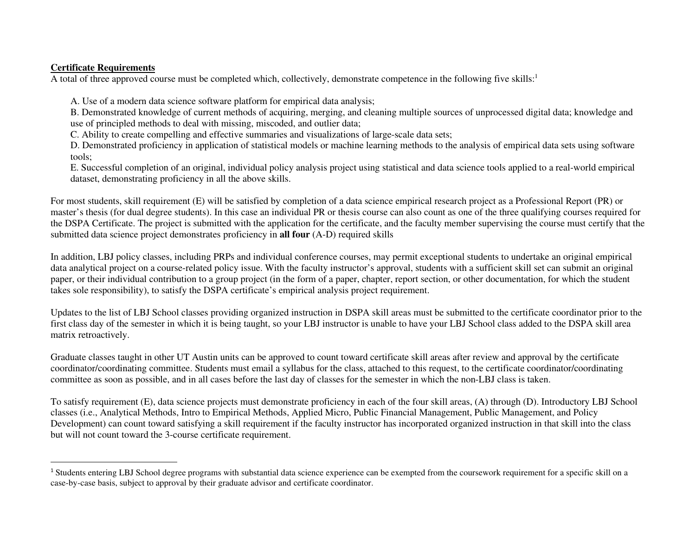## **Certificate Requirements**

A total of three approved course must be completed which, collectively, demonstrate competence in the following five skills:<sup>1</sup>

A. Use of a modern data science software platform for empirical data analysis;

 B. Demonstrated knowledge of current methods of acquiring, merging, and cleaning multiple sources of unprocessed digital data; knowledge anduse of principled methods to deal with missing, miscoded, and outlier data;

C. Ability to create compelling and effective summaries and visualizations of large-scale data sets;

 D. Demonstrated proficiency in application of statistical models or machine learning methods to the analysis of empirical data sets using softwaretools;

 E. Successful completion of an original, individual policy analysis project using statistical and data science tools applied to a real-world empiricaldataset, demonstrating proficiency in all the above skills.

For most students, skill requirement (E) will be satisfied by completion of a data science empirical research project as a Professional Report (PR) or master's thesis (for dual degree students). In this case an individual PR or thesis course can also count as one of the three qualifying courses required for the DSPA Certificate. The project is submitted with the application for the certificate, and the faculty member supervising the course must certify that the submitted data science project demonstrates proficiency in **all four** (A-D) required skills

In addition, LBJ policy classes, including PRPs and individual conference courses, may permit exceptional students to undertake an original empirical data analytical project on a course-related policy issue. With the faculty instructor's approval, students with a sufficient skill set can submit an original paper, or their individual contribution to a group project (in the form of a paper, chapter, report section, or other documentation, for which the student takes sole responsibility), to satisfy the DSPA certificate's empirical analysis project requirement.

Updates to the list of LBJ School classes providing organized instruction in DSPA skill areas must be submitted to the certificate coordinator prior to the first class day of the semester in which it is being taught, so your LBJ instructor is unable to have your LBJ School class added to the DSPA skill area matrix retroactively.

Graduate classes taught in other UT Austin units can be approved to count toward certificate skill areas after review and approval by the certificate coordinator/coordinating committee. Students must email a syllabus for the class, attached to this request, to the certificate coordinator/coordinating committee as soon as possible, and in all cases before the last day of classes for the semester in which the non-LBJ class is taken.

To satisfy requirement (E), data science projects must demonstrate proficiency in each of the four skill areas, (A) through (D). Introductory LBJ School classes (i.e., Analytical Methods, Intro to Empirical Methods, Applied Micro, Public Financial Management, Public Management, and Policy Development) can count toward satisfying a skill requirement if the faculty instructor has incorporated organized instruction in that skill into the class but will not count toward the 3-course certificate requirement.

<sup>&</sup>lt;sup>1</sup> Students entering LBJ School degree programs with substantial data science experience can be exempted from the coursework requirement for a specific skill on a case-by-case basis, subject to approval by their graduate advisor and certificate coordinator.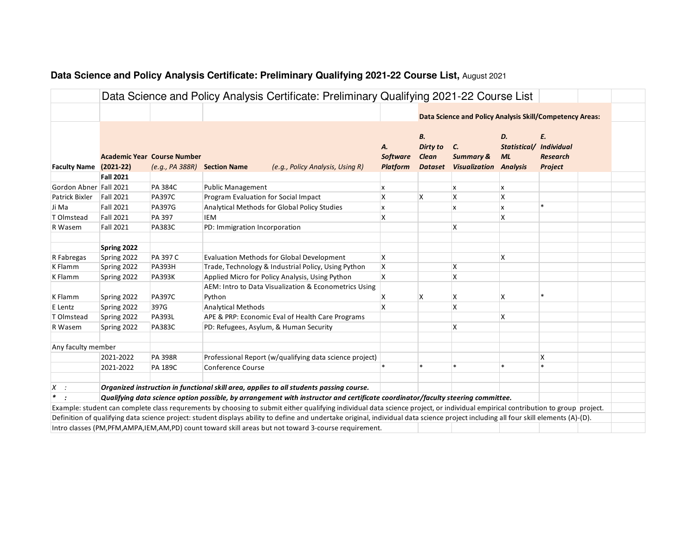|                        |                  |                                                       |                                      | Data Science and Policy Analysis Certificate: Preliminary Qualifying 2021-22 Course List                                                                                             |                                          |                                                         |                                                             |                                 |                                                       |  |
|------------------------|------------------|-------------------------------------------------------|--------------------------------------|--------------------------------------------------------------------------------------------------------------------------------------------------------------------------------------|------------------------------------------|---------------------------------------------------------|-------------------------------------------------------------|---------------------------------|-------------------------------------------------------|--|
|                        |                  |                                                       |                                      |                                                                                                                                                                                      |                                          |                                                         | Data Science and Policy Analysis Skill/Competency Areas:    |                                 |                                                       |  |
|                        |                  |                                                       |                                      |                                                                                                                                                                                      |                                          |                                                         |                                                             |                                 |                                                       |  |
|                        | $(2021-22)$      | <b>Academic Year Course Number</b><br>(e.g., PA 388R) | <b>Section Name</b>                  | (e.g., Policy Analysis, Using R)                                                                                                                                                     | А.<br><b>Software</b><br><b>Platform</b> | В.<br><b>Dirty to</b><br><b>Clean</b><br><b>Dataset</b> | C.<br><b>Summary &amp;</b><br><b>Visualization Analysis</b> | D.<br>Statistical/<br><b>ML</b> | E.<br><b>Individual</b><br><b>Research</b><br>Project |  |
| <b>Faculty Name</b>    | <b>Fall 2021</b> |                                                       |                                      |                                                                                                                                                                                      |                                          |                                                         |                                                             |                                 |                                                       |  |
| Gordon Abner Fall 2021 |                  | PA 384C                                               | <b>Public Management</b>             |                                                                                                                                                                                      | x                                        |                                                         | X                                                           | x                               |                                                       |  |
| Patrick Bixler         | <b>Fall 2021</b> | <b>PA397C</b>                                         | Program Evaluation for Social Impact |                                                                                                                                                                                      | $\boldsymbol{\mathsf{x}}$                | X                                                       | $\mathsf{x}$                                                | $\mathsf{x}$                    |                                                       |  |
| Ji Ma                  | <b>Fall 2021</b> | <b>PA397G</b>                                         |                                      | Analytical Methods for Global Policy Studies                                                                                                                                         | x                                        |                                                         | X                                                           | x                               |                                                       |  |
| T Olmstead             | <b>Fall 2021</b> | PA 397                                                | <b>IEM</b>                           |                                                                                                                                                                                      | Χ                                        |                                                         |                                                             | Χ                               |                                                       |  |
| R Wasem                | <b>Fall 2021</b> | <b>PA383C</b>                                         | PD: Immigration Incorporation        |                                                                                                                                                                                      |                                          |                                                         | X                                                           |                                 |                                                       |  |
|                        |                  |                                                       |                                      |                                                                                                                                                                                      |                                          |                                                         |                                                             |                                 |                                                       |  |
|                        | Spring 2022      |                                                       |                                      |                                                                                                                                                                                      |                                          |                                                         |                                                             |                                 |                                                       |  |
| R Fabregas             | Spring 2022      | PA 397 C                                              |                                      | <b>Evaluation Methods for Global Development</b>                                                                                                                                     | X                                        |                                                         |                                                             | X                               |                                                       |  |
| K Flamm                | Spring 2022      | <b>PA393H</b>                                         |                                      | Trade, Technology & Industrial Policy, Using Python                                                                                                                                  | $\boldsymbol{\mathsf{x}}$                |                                                         | X                                                           |                                 |                                                       |  |
| K Flamm                | Spring 2022      | <b>PA393K</b>                                         |                                      | Applied Micro for Policy Analysis, Using Python                                                                                                                                      | X                                        |                                                         | Χ                                                           |                                 |                                                       |  |
| K Flamm                | Spring 2022      | <b>PA397C</b>                                         | Python                               | AEM: Intro to Data Visualization & Econometrics Using                                                                                                                                | х                                        | Χ                                                       | х                                                           | х                               |                                                       |  |
| E Lentz                | Spring 2022      | 397G                                                  | <b>Analytical Methods</b>            |                                                                                                                                                                                      | $\boldsymbol{\mathsf{x}}$                |                                                         | $\boldsymbol{\mathsf{x}}$                                   |                                 |                                                       |  |
| T Olmstead             | Spring 2022      | <b>PA393L</b>                                         |                                      | APE & PRP: Economic Eval of Health Care Programs                                                                                                                                     |                                          |                                                         |                                                             | Χ                               |                                                       |  |
| R Wasem                | Spring 2022      | <b>PA383C</b>                                         |                                      | PD: Refugees, Asylum, & Human Security                                                                                                                                               |                                          |                                                         | X                                                           |                                 |                                                       |  |
|                        |                  |                                                       |                                      |                                                                                                                                                                                      |                                          |                                                         |                                                             |                                 |                                                       |  |
| Any faculty member     |                  |                                                       |                                      |                                                                                                                                                                                      |                                          |                                                         |                                                             |                                 |                                                       |  |
|                        | 2021-2022        | <b>PA 398R</b>                                        |                                      | Professional Report (w/qualifying data science project)                                                                                                                              |                                          |                                                         |                                                             |                                 | Χ                                                     |  |
|                        | 2021-2022        | <b>PA 189C</b>                                        | <b>Conference Course</b>             |                                                                                                                                                                                      |                                          |                                                         |                                                             | $\ast$                          | $\star$                                               |  |
| X<br>$\sim$ 1          |                  |                                                       |                                      | Organized instruction in functional skill area, applies to all students passing course.                                                                                              |                                          |                                                         |                                                             |                                 |                                                       |  |
| $\ast$                 |                  |                                                       |                                      | Qualifying data science option possible, by arrangement with instructor and certificate coordinator/faculty steering committee.                                                      |                                          |                                                         |                                                             |                                 |                                                       |  |
|                        |                  |                                                       |                                      | Example: student can complete class requrements by choosing to submit either qualifying individual data science project, or individual empirical contribution to group project.      |                                          |                                                         |                                                             |                                 |                                                       |  |
|                        |                  |                                                       |                                      | Definition of qualifying data science project: student displays ability to define and undertake original, individual data science project including all four skill elements (A)-(D). |                                          |                                                         |                                                             |                                 |                                                       |  |
|                        |                  |                                                       |                                      | Intro classes (PM, PFM, AMPA, IEM, AM, PD) count toward skill areas but not toward 3-course requirement.                                                                             |                                          |                                                         |                                                             |                                 |                                                       |  |

## **Data Science and Policy Analysis Certificate: Preliminary Qualifying 2021-22 Course List,** August 2021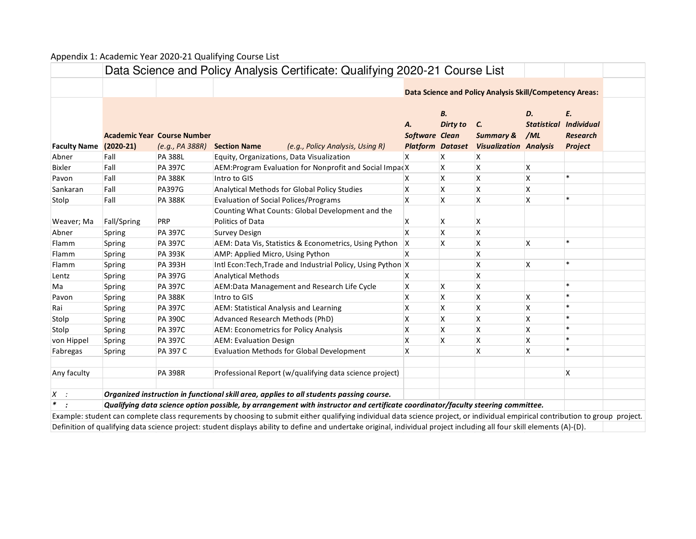## Appendix 1: Academic Year 2020-21 Qualifying Course List

|                     |             |                                                       |                                              | Data Science and Policy Analysis Certificate: Qualifying 2020-21 Course List                                                                                                    |                                                 |                   |                                                                 |                                 |                                                       |  |
|---------------------|-------------|-------------------------------------------------------|----------------------------------------------|---------------------------------------------------------------------------------------------------------------------------------------------------------------------------------|-------------------------------------------------|-------------------|-----------------------------------------------------------------|---------------------------------|-------------------------------------------------------|--|
|                     |             |                                                       |                                              |                                                                                                                                                                                 |                                                 |                   | <b>Data Science and Policy Analysis Skill/Competency Areas:</b> |                                 |                                                       |  |
| <b>Faculty Name</b> | $(2020-21)$ | <b>Academic Year Course Number</b><br>(e.g., PA 388R) | <b>Section Name</b>                          | (e.g., Policy Analysis, Using R)                                                                                                                                                | А.<br>Software Clean<br><b>Platform Dataset</b> | В.<br>Dirty to C. | <b>Summary &amp;</b><br><b>Visualization Analysis</b>           | D.<br><b>Statistical</b><br>/ML | E.<br><b>Individual</b><br><b>Research</b><br>Project |  |
| Abner               | Fall        | <b>PA 388L</b>                                        |                                              | Equity, Organizations, Data Visualization                                                                                                                                       |                                                 | х                 | X                                                               |                                 |                                                       |  |
| <b>Bixler</b>       | Fall        | <b>PA 397C</b>                                        |                                              | AEM: Program Evaluation for Nonprofit and Social ImpacX                                                                                                                         |                                                 | X                 | Χ                                                               | х                               |                                                       |  |
| Pavon               | Fall        | <b>PA 388K</b>                                        | Intro to GIS                                 |                                                                                                                                                                                 | х                                               | Χ                 | Χ                                                               | Χ                               | $\ast$                                                |  |
| Sankaran            | Fall        | <b>PA397G</b>                                         |                                              | Analytical Methods for Global Policy Studies                                                                                                                                    | Χ                                               | X                 | Χ                                                               | Χ                               |                                                       |  |
| Stolp               | Fall        | <b>PA 388K</b>                                        | <b>Evaluation of Social Polices/Programs</b> |                                                                                                                                                                                 | X                                               | X                 | X                                                               | X                               |                                                       |  |
| Weaver; Ma          | Fall/Spring | PRP                                                   | Politics of Data                             | Counting What Counts: Global Development and the                                                                                                                                | х                                               | х                 | х                                                               |                                 |                                                       |  |
| Abner               | Spring      | <b>PA 397C</b>                                        | <b>Survey Design</b>                         |                                                                                                                                                                                 | x                                               | X                 | Χ                                                               |                                 |                                                       |  |
| Flamm               | Spring      | <b>PA 397C</b>                                        |                                              | AEM: Data Vis, Statistics & Econometrics, Using Python                                                                                                                          | X                                               | X                 | X                                                               | X                               | $\ast$                                                |  |
| Flamm               | Spring      | <b>PA 393K</b>                                        | AMP: Applied Micro, Using Python             |                                                                                                                                                                                 | x                                               |                   | Χ                                                               |                                 |                                                       |  |
| Flamm               | Spring      | <b>PA 393H</b>                                        |                                              | Intl Econ: Tech, Trade and Industrial Policy, Using Python X                                                                                                                    |                                                 |                   | Χ                                                               | Χ                               |                                                       |  |
| Lentz               | Spring      | <b>PA 397G</b>                                        | <b>Analytical Methods</b>                    |                                                                                                                                                                                 | x                                               |                   | X                                                               |                                 |                                                       |  |
| Ma                  | Spring      | <b>PA 397C</b>                                        |                                              | AEM:Data Management and Research Life Cycle                                                                                                                                     | X                                               | X                 | X                                                               |                                 | $\ast$                                                |  |
| Pavon               | Spring      | <b>PA 388K</b>                                        | Intro to GIS                                 |                                                                                                                                                                                 | X                                               | X                 | Χ                                                               | Χ                               |                                                       |  |
| Rai                 | Spring      | <b>PA 397C</b>                                        |                                              | AEM: Statistical Analysis and Learning                                                                                                                                          | X                                               | X                 | X                                                               | Χ                               | ÷                                                     |  |
| Stolp               | Spring      | <b>PA 390C</b>                                        | Advanced Research Methods (PhD)              |                                                                                                                                                                                 | X                                               | X                 | X                                                               | Χ                               |                                                       |  |
| Stolp               | Spring      | PA 397C                                               |                                              | <b>AEM: Econometrics for Policy Analysis</b>                                                                                                                                    | Χ                                               | X                 | х                                                               | Χ                               |                                                       |  |
| von Hippel          | Spring      | <b>PA 397C</b>                                        | <b>AEM: Evaluation Design</b>                |                                                                                                                                                                                 | X                                               | X                 | X                                                               | Χ                               | $\ast$                                                |  |
| Fabregas            | Spring      | PA 397 C                                              |                                              | <b>Evaluation Methods for Global Development</b>                                                                                                                                | X                                               |                   | X                                                               | Χ                               |                                                       |  |
| Any faculty         |             | <b>PA 398R</b>                                        |                                              | Professional Report (w/qualifying data science project)                                                                                                                         |                                                 |                   |                                                                 |                                 | Χ                                                     |  |
| $X$ :               |             |                                                       |                                              | Organized instruction in functional skill area, applies to all students passing course.                                                                                         |                                                 |                   |                                                                 |                                 |                                                       |  |
| $\ast$<br>$\cdot$ : |             |                                                       |                                              | Qualifying data science option possible, by arrangement with instructor and certificate coordinator/faculty steering committee.                                                 |                                                 |                   |                                                                 |                                 |                                                       |  |
|                     |             |                                                       |                                              | Example: student can complete class requrements by choosing to submit either qualifying individual data science project, or individual empirical contribution to group project. |                                                 |                   |                                                                 |                                 |                                                       |  |
|                     |             |                                                       |                                              | Definition of qualifying data science project: student displays ability to define and undertake original, individual project including all four skill elements (A)-(D).         |                                                 |                   |                                                                 |                                 |                                                       |  |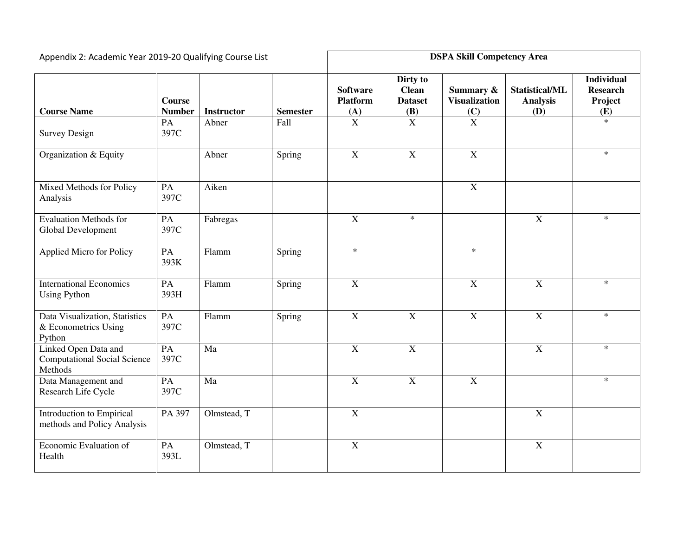| Appendix 2: Academic Year 2019-20 Qualifying Course List               | <b>DSPA Skill Competency Area</b> |                   |                 |                                                       |                                                                        |                                                      |                                          |                                                        |
|------------------------------------------------------------------------|-----------------------------------|-------------------|-----------------|-------------------------------------------------------|------------------------------------------------------------------------|------------------------------------------------------|------------------------------------------|--------------------------------------------------------|
| <b>Course Name</b>                                                     | <b>Course</b><br><b>Number</b>    | <b>Instructor</b> | <b>Semester</b> | <b>Software</b><br><b>Platform</b><br>$\frac{(A)}{X}$ | Dirty to<br><b>Clean</b><br><b>Dataset</b><br>$\frac{(\mathbf{B})}{X}$ | Summary &<br><b>Visualization</b><br>$\frac{(C)}{X}$ | Statistical/ML<br><b>Analysis</b><br>(D) | <b>Individual</b><br><b>Research</b><br>Project<br>(E) |
| <b>Survey Design</b>                                                   | PA<br>397C                        | Abner             | Fall            |                                                       |                                                                        |                                                      |                                          | $\ast$                                                 |
| Organization & Equity                                                  |                                   | Abner             | Spring          | $\overline{X}$                                        | $\overline{X}$                                                         | $\overline{X}$                                       |                                          | $\ast$                                                 |
| Mixed Methods for Policy<br>Analysis                                   | PA<br>397C                        | Aiken             |                 |                                                       |                                                                        | $\boldsymbol{X}$                                     |                                          |                                                        |
| <b>Evaluation Methods for</b><br>Global Development                    | PA<br>397C                        | Fabregas          |                 | $\overline{X}$                                        | $\ast$                                                                 |                                                      | $\mathbf X$                              | $\ast$                                                 |
| <b>Applied Micro for Policy</b>                                        | PA<br>393K                        | Flamm             | Spring          | $\ast$                                                |                                                                        | $\ast$                                               |                                          |                                                        |
| <b>International Economics</b><br><b>Using Python</b>                  | PA<br>393H                        | Flamm             | Spring          | $\mathbf X$                                           |                                                                        | X                                                    | X                                        | $\ast$                                                 |
| Data Visualization, Statistics<br>& Econometrics Using<br>Python       | PA<br>397C                        | Flamm             | Spring          | $\mathbf X$                                           | $\mathbf X$                                                            | $\mathbf X$                                          | $\mathbf X$                              | $\ast$                                                 |
| Linked Open Data and<br><b>Computational Social Science</b><br>Methods | PA<br>397C                        | Ma                |                 | $\overline{X}$                                        | $\overline{X}$                                                         |                                                      | $\mathbf X$                              | $\ast$                                                 |
| Data Management and<br>Research Life Cycle                             | PA<br>397C                        | Ma                |                 | $\overline{X}$                                        | $\overline{X}$                                                         | $\overline{X}$                                       |                                          | $\ast$                                                 |
| Introduction to Empirical<br>methods and Policy Analysis               | PA 397                            | Olmstead, T       |                 | $\overline{X}$                                        |                                                                        |                                                      | $\overline{X}$                           |                                                        |
| Economic Evaluation of<br>Health                                       | PA<br>393L                        | Olmstead, T       |                 | $\overline{X}$                                        |                                                                        |                                                      | $\mathbf X$                              |                                                        |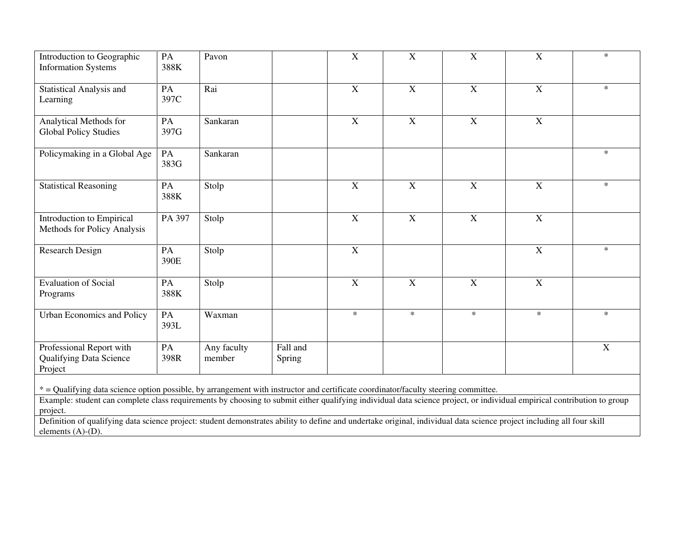| Introduction to Geographic<br><b>Information Systems</b>              | PA<br>388K | Pavon                 |                    | $\mathbf X$    | $\mathbf X$    | $\mathbf X$    | $\mathbf X$    | $\ast$      |
|-----------------------------------------------------------------------|------------|-----------------------|--------------------|----------------|----------------|----------------|----------------|-------------|
| <b>Statistical Analysis and</b><br>Learning                           | PA<br>397C | Rai                   |                    | $\overline{X}$ | $\overline{X}$ | $\overline{X}$ | $\overline{X}$ | $\ast$      |
| Analytical Methods for<br><b>Global Policy Studies</b>                | PA<br>397G | Sankaran              |                    | $\mathbf X$    | $\mathbf X$    | $\mathbf X$    | $\mathbf X$    |             |
| Policymaking in a Global Age                                          | PA<br>383G | Sankaran              |                    |                |                |                |                | $\ast$      |
| <b>Statistical Reasoning</b>                                          | PA<br>388K | Stolp                 |                    | $\mathbf X$    | $\mathbf X$    | $\mathbf X$    | $\mathbf X$    | $\ast$      |
| Introduction to Empirical<br>Methods for Policy Analysis              | PA 397     | Stolp                 |                    | $\mathbf X$    | $\mathbf X$    | $\mathbf X$    | $\mathbf X$    |             |
| Research Design                                                       | PA<br>390E | Stolp                 |                    | X              |                |                | X              | $\ast$      |
| Evaluation of Social<br>Programs                                      | PA<br>388K | Stolp                 |                    | $\mathbf X$    | $\mathbf X$    | $\mathbf X$    | $\mathbf X$    |             |
| Urban Economics and Policy                                            | PA<br>393L | Waxman                |                    | $\ast$         | $\ast$         | $\ast$         | $\ast$         | $\ast$      |
| Professional Report with<br><b>Qualifying Data Science</b><br>Project | PA<br>398R | Any faculty<br>member | Fall and<br>Spring |                |                |                |                | $\mathbf X$ |

\* = Qualifying data science option possible, by arrangement with instructor and certificate coordinator/faculty steering committee.

Example: student can complete class requirements by choosing to submit either qualifying individual data science project, or individual empirical contribution to group project.

 Definition of qualifying data science project: student demonstrates ability to define and undertake original, individual data science project including all four skill elements (A)-(D).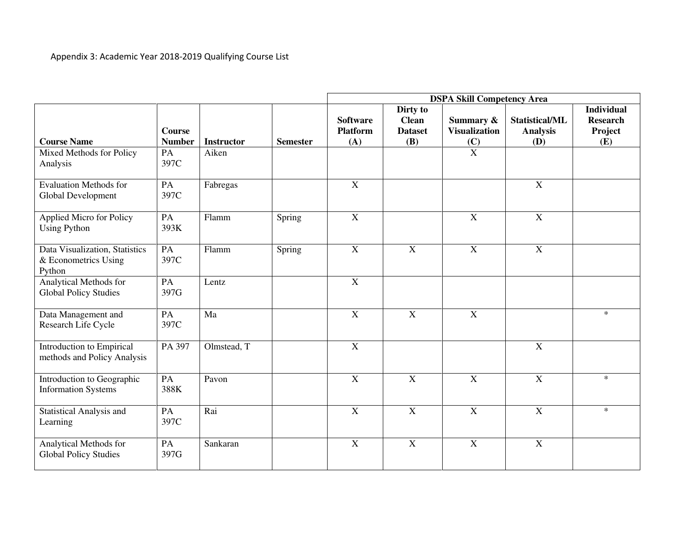|                                                                  |                         |                   |                 | <b>DSPA Skill Competency Area</b>         |                                                          |                                   |                                                        |                                                        |  |
|------------------------------------------------------------------|-------------------------|-------------------|-----------------|-------------------------------------------|----------------------------------------------------------|-----------------------------------|--------------------------------------------------------|--------------------------------------------------------|--|
| <b>Course Name</b>                                               | Course<br><b>Number</b> | <b>Instructor</b> | <b>Semester</b> | <b>Software</b><br><b>Platform</b><br>(A) | Dirty to<br><b>Clean</b><br><b>Dataset</b><br><b>(B)</b> | Summary &<br><b>Visualization</b> | <b>Statistical/ML</b><br><b>Analysis</b><br><b>(D)</b> | <b>Individual</b><br><b>Research</b><br>Project<br>(E) |  |
| Mixed Methods for Policy<br>Analysis                             | PA<br>397C              | Aiken             |                 |                                           |                                                          | $\frac{(C)}{X}$                   |                                                        |                                                        |  |
| <b>Evaluation Methods for</b><br>Global Development              | PA<br>397C              | Fabregas          |                 | $\mathbf X$                               |                                                          |                                   | $\mathbf X$                                            |                                                        |  |
| Applied Micro for Policy<br><b>Using Python</b>                  | PA<br>393K              | Flamm             | Spring          | $\overline{X}$                            |                                                          | $\mathbf X$                       | $\overline{X}$                                         |                                                        |  |
| Data Visualization, Statistics<br>& Econometrics Using<br>Python | PA<br>397C              | Flamm             | Spring          | $\mathbf X$                               | $\mathbf X$                                              | $\mathbf X$                       | $\mathbf X$                                            |                                                        |  |
| Analytical Methods for<br><b>Global Policy Studies</b>           | PA<br>397G              | Lentz             |                 | $\overline{X}$                            |                                                          |                                   |                                                        |                                                        |  |
| Data Management and<br>Research Life Cycle                       | PA<br>397C              | Ma                |                 | $\mathbf X$                               | $\mathbf X$                                              | $\mathbf X$                       |                                                        | $\ast$                                                 |  |
| Introduction to Empirical<br>methods and Policy Analysis         | PA 397                  | Olmstead, T       |                 | $\mathbf X$                               |                                                          |                                   | $\mathbf X$                                            |                                                        |  |
| Introduction to Geographic<br><b>Information Systems</b>         | PA<br>388K              | Pavon             |                 | $\mathbf X$                               | $\mathbf X$                                              | $\mathbf X$                       | $\mathbf X$                                            | $\ast$                                                 |  |
| <b>Statistical Analysis and</b><br>Learning                      | PA<br>397C              | Rai               |                 | $\mathbf X$                               | $\mathbf X$                                              | $\mathbf X$                       | $\mathbf X$                                            | $\ast$                                                 |  |
| Analytical Methods for<br><b>Global Policy Studies</b>           | PA<br>397G              | Sankaran          |                 | $\mathbf X$                               | $\boldsymbol{\mathrm{X}}$                                | X                                 | $\mathbf X$                                            |                                                        |  |